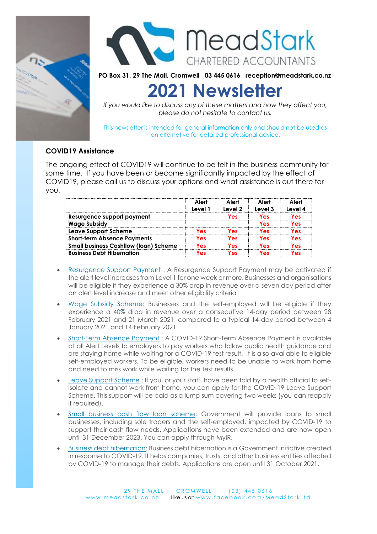



**PO Box 31, 29 The Mall, Cromwell 03 445 0616 reception@meadstark.co.nz**

# **2021 Newsletter**

*If you would like to discuss any of these matters and how they affect you, please do not hesitate to contact us.*

This newsletter is intended for general information only and should not be used as an alternative for detailed professional advice.

# **COVID19 Assistance**

The ongoing effect of COVID19 will continue to be felt in the business community for some time. If you have been or become significantly impacted by the effect of COVID19, please call us to discuss your options and what assistance is out there for you.

|                                              | Alert<br>Level 1 | Alert<br>Level 2 | Alert<br>Level 3 | Alert<br>Level 4 |
|----------------------------------------------|------------------|------------------|------------------|------------------|
| Resurgence support payment                   |                  | Yes              | Yes              | res              |
| <b>Wage Subsidy</b>                          |                  |                  | Yes              | les.             |
| <b>Leave Support Scheme</b>                  | Yes              | Yes              | Yes              | l es             |
| <b>Short-term Absence Payments</b>           | les.             | Yes              | Yes              | les              |
| <b>Small business Cashflow (loan) Scheme</b> | Yes              | Yes              | Yes              | les.             |
| <b>Business Debt Hibernation</b>             | les.             | Yes              | Yes              | l es             |

- [Resurgence Support Payment](https://www.business.govt.nz/covid-19/financial-support-for-businesses/#e-23899) : A Resurgence Support Payment may be activated if the alert level increases from Level 1 for one week or more. Businesses and organisations will be eligible if they experience a 30% drop in revenue over a seven day period after an alert level increase and meet other eligibility criteria
- [Wage Subsidy Scheme:](https://www.business.govt.nz/covid-19/financial-support-for-businesses/#e-24376) Businesses and the self-employed will be eligible if they experience a 40% drop in revenue over a consecutive 14-day period between 28 February 2021 and 21 March 2021, compared to a typical 14-day period between 4 January 2021 and 14 February 2021.
- [Short-Term Absence Payment](https://www.business.govt.nz/covid-19/financial-support-for-businesses/#e-24379) : A COVID-19 Short-Term Absence Payment is available at all Alert Levels to employers to pay workers who follow public health guidance and are staying home while waiting for a COVID-19 test result. It is also available to eligible self-employed workers. To be eligible, workers need to be unable to work from home and need to miss work while waiting for the test results.
- [Leave Support Scheme](https://www.business.govt.nz/covid-19/financial-support-for-businesses/#e-23043) : If you, or your staff, have been told by a health official to selfisolate and cannot work from home, you can apply for the COVID-19 Leave Support Scheme. This support will be paid as a lump sum covering two weeks (you can reapply if required).
- [Small business cash flow loan scheme:](https://www.business.govt.nz/covid-19/financial-support-for-businesses/#e-22247) Government will provide loans to small businesses, including sole traders and the self-employed, impacted by COVID-19 to support their cash flow needs. Applications have been extended and are now open until 31 December 2023. You can apply through MyIR.
- [Business debt hibernation:](https://www.business.govt.nz/covid-19/financial-support-for-businesses/#e-22256) Business debt hibernation is a Government initiative created in response to COVID-19. It helps companies, trusts, and other business entities affected by COVID-19 to manage their debts. Applications are open until 31 October 2021.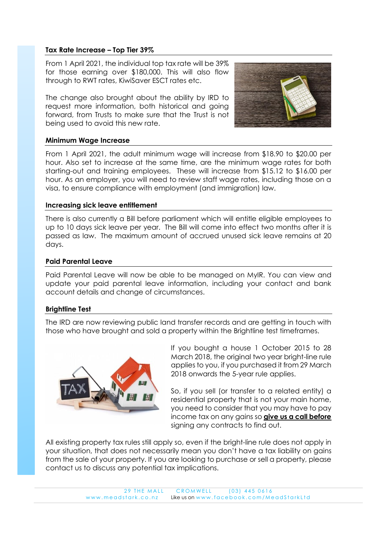# **Tax Rate Increase – Top Tier 39%**

From 1 April 2021, the individual top tax rate will be 39% for those earning over \$180,000. This will also flow through to RWT rates, KiwiSaver ESCT rates etc.

The change also brought about the ability by IRD to request more information, both historical and going forward, from Trusts to make sure that the Trust is not being used to avoid this new rate.



#### **Minimum Wage Increase**

From 1 April 2021, the adult minimum wage will increase from \$18.90 to \$20.00 per hour. Also set to increase at the same time, are the minimum wage rates for both starting-out and training employees. These will increase from \$15.12 to \$16.00 per hour. As an employer, you will need to review staff wage rates, including those on a visa, to ensure compliance with employment (and immigration) law.

#### **Increasing sick leave entitlement**

There is also currently a Bill before parliament which will entitle eligible employees to up to 10 days sick leave per year. The Bill will come into effect two months after it is passed as law. The maximum amount of accrued unused sick leave remains at 20 days.

# **Paid Parental Leave**

Paid Parental Leave will now be able to be managed on MyIR. You can view and update your paid parental leave information, including your contact and bank account details and change of circumstances.

#### **Brightline Test**

The IRD are now reviewing public land transfer records and are getting in touch with those who have brought and sold a property within the Brightline test timeframes.



If you bought a house 1 October 2015 to 28 March 2018, the original two year bright-line rule applies to you, if you purchased it from 29 March 2018 onwards the 5-year rule applies.

So, if you sell (or transfer to a related entity) a residential property that is not your main home, you need to consider that you may have to pay income tax on any gains so **give us a call before** signing any contracts to find out.

All existing property tax rules still apply so, even if the bright-line rule does not apply in your situation, that does not necessarily mean you don't have a tax liability on gains from the sale of your property. If you are looking to purchase or sell a property, please contact us to discuss any potential tax implications.